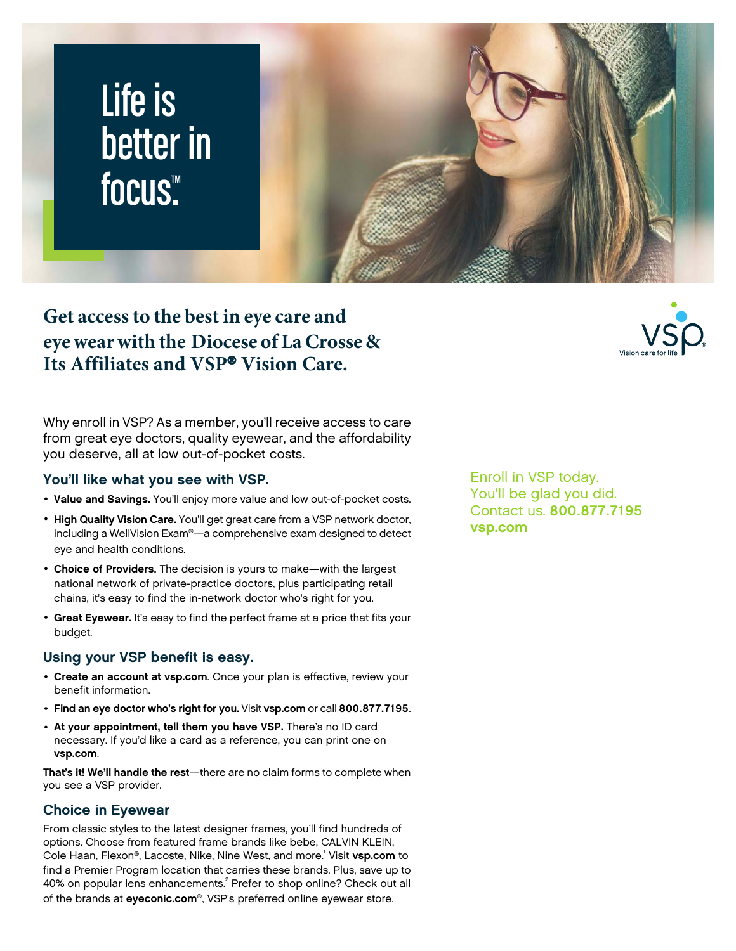# Life is better in focus<sup>™</sup>

### **Get access to the best in eye care and eye wear with the Diocese of La Crosse & Its Affiliates and VSP® Vision Care.**

Why enroll in VSP? As a member, you'll receive access to care from great eye doctors, quality eyewear, and the affordability you deserve, all at low out-of-pocket costs.

### **You'll like what you see with VSP.**

- **Value and Savings.** You'll enjoy more value and low out-of-pocket costs.
- **High Quality Vision Care.** You'll get great care from a VSP network doctor, including a WellVision Exam®—a comprehensive exam designed to detect eye and health conditions.
- **Choice of Providers.** The decision is yours to make—with the largest national network of private-practice doctors, plus participating retail chains, it's easy to find the in-network doctor who's right for you.
- **Great Eyewear.** It's easy to find the perfect frame at a price that fits your budget.

### **Using your VSP benefit is easy.**

- **Create an account at vsp.com**. Once your plan is effective, review your benefit information.
- **Find an eye doctor who's right for you.** Visit **vsp.com** or call **800.877.7195**.
- **At your appointment, tell them you have VSP.** There's no ID card necessary. If you'd like a card as a reference, you can print one on **vsp.com**.

**That's it! We'll handle the rest**—there are no claim forms to complete when you see a VSP provider.

### **Choice in Eyewear**

From classic styles to the latest designer frames, you'll find hundreds of options. Choose from featured frame brands like bebe, CALVIN KLEIN, Cole Haan, Flexon®, Lacoste, Nike, Nine West, and more.<sup>1</sup> Visit **vsp.com** to find a Premier Program location that carries these brands. Plus, save up to 40% on popular lens enhancements.<sup>2</sup> Prefer to shop online? Check out all of the brands at **eyeconic.com**®, VSP's preferred online eyewear store.

Enroll in VSP today. You'll be glad you did. Contact us. **800.877.7195 vsp.com**